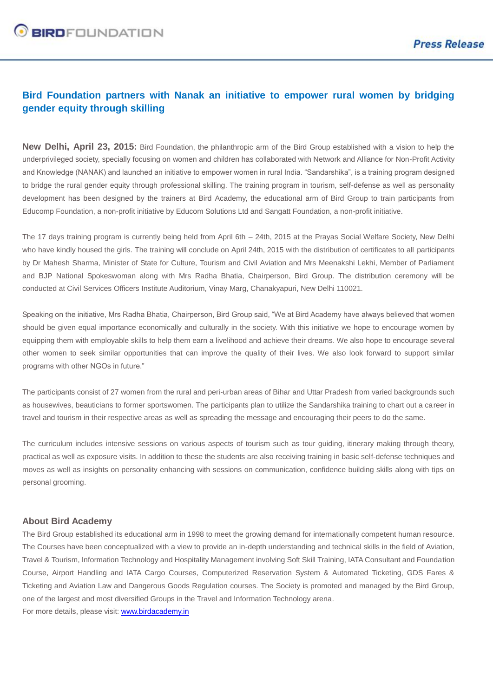## **Bird Foundation partners with Nanak an initiative to empower rural women by bridging gender equity through skilling**

**New Delhi, April 23, 2015:** Bird Foundation, the philanthropic arm of the Bird Group established with a vision to help the underprivileged society, specially focusing on women and children has collaborated with Network and Alliance for Non-Profit Activity and Knowledge (NANAK) and launched an initiative to empower women in rural India. "Sandarshika", is a training program designed to bridge the rural gender equity through professional skilling. The training program in tourism, self-defense as well as personality development has been designed by the trainers at Bird Academy, the educational arm of Bird Group to train participants from Educomp Foundation, a non-profit initiative by Educom Solutions Ltd and Sangatt Foundation, a non-profit initiative.

The 17 days training program is currently being held from April 6th – 24th, 2015 at the Prayas Social Welfare Society, New Delhi who have kindly housed the girls. The training will conclude on April 24th, 2015 with the distribution of certificates to all participants by Dr Mahesh Sharma, Minister of State for Culture, Tourism and Civil Aviation and Mrs Meenakshi Lekhi, Member of Parliament and BJP National Spokeswoman along with Mrs Radha Bhatia, Chairperson, Bird Group. The distribution ceremony will be conducted at Civil Services Officers Institute Auditorium, Vinay Marg, Chanakyapuri, New Delhi 110021.

Speaking on the initiative, Mrs Radha Bhatia, Chairperson, Bird Group said, "We at Bird Academy have always believed that women should be given equal importance economically and culturally in the society. With this initiative we hope to encourage women by equipping them with employable skills to help them earn a livelihood and achieve their dreams. We also hope to encourage several other women to seek similar opportunities that can improve the quality of their lives. We also look forward to support similar programs with other NGOs in future."

The participants consist of 27 women from the rural and peri-urban areas of Bihar and Uttar Pradesh from varied backgrounds such as housewives, beauticians to former sportswomen. The participants plan to utilize the Sandarshika training to chart out a career in travel and tourism in their respective areas as well as spreading the message and encouraging their peers to do the same.

The curriculum includes intensive sessions on various aspects of tourism such as tour guiding, itinerary making through theory, practical as well as exposure visits. In addition to these the students are also receiving training in basic self-defense techniques and moves as well as insights on personality enhancing with sessions on communication, confidence building skills along with tips on personal grooming.

## **About Bird Academy**

The Bird Group established its educational arm in 1998 to meet the growing demand for internationally competent human resource. The Courses have been conceptualized with a view to provide an in-depth understanding and technical skills in the field of Aviation, Travel & Tourism, Information Technology and Hospitality Management involving Soft Skill Training, IATA Consultant and Foundation Course, Airport Handling and IATA Cargo Courses, Computerized Reservation System & Automated Ticketing, GDS Fares & Ticketing and Aviation Law and Dangerous Goods Regulation courses. The Society is promoted and managed by the Bird Group, one of the largest and most diversified Groups in the Travel and Information Technology arena. For more details, please visit: [www.birdacademy.in](http://www.birdacademy.in/)